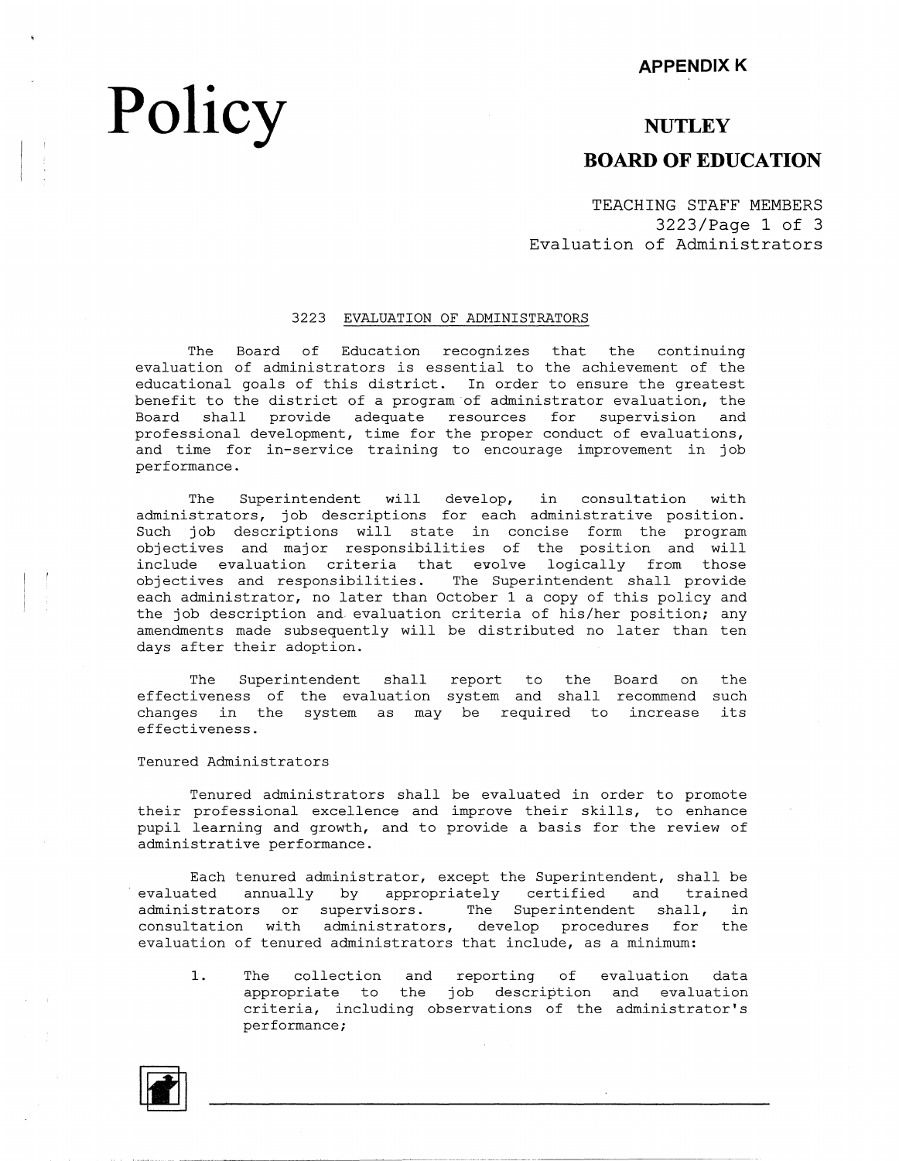## Policy NUTLEY **BOARD OF EDUCATION**

TEACHING STAFF MEMBERS 3223/Page 1 of 3 Evaluation of Administrators

#### 3223 EVALUATION OF ADMINISTRATORS

The Board of Education recognizes that the continuing evaluation of administrators is essential to the achievement of the educational goals of this district. In order to ensure the greatest benefit to the district of a program of administrator evaluation, the Board shall provide adequate resources for supervision and professional development, time for the proper conduct of evaluations, and time for in-service training to encourage improvement in job performance.

The Superintendent will develop, in consultation with administrators, job descriptions for each administrative position. Such job descriptions will state in concise form the program objectives and major responsibilities of the position and will include evaluation criteria that evolve logically from those objectives and responsibilities. The Superintendent shall provide each administrator, no later than October 1 a copy of this policy and the job description and. evaluation criteria of his/her position; any amendments made subsequently will be distributed no later than ten days after their adoption.

The Superintendent shall report to the Board on the effectiveness of the evaluation system and shall recommend such changes in the system as may be required to increa effectiveness. its

#### Tenured Administrators

Tenured administrators shall be evaluated in order to promote their professional excellence and improve their skills, to enhance pupil learning and growth, and to provide a basis for the review of administrative performance.

Each tenured administrator, except the Superintendent, shall be evaluated annually by appropriately certified and trained administrators or supervisors. The Superintendent shall, in consultation with administrators, develop procedures for the evaluation of tenured administrators that include, as a minimum:

1. The collection and reporting of evaluation data appropriate to the job description and evaluation criteria, including observations of the administrator's performance;

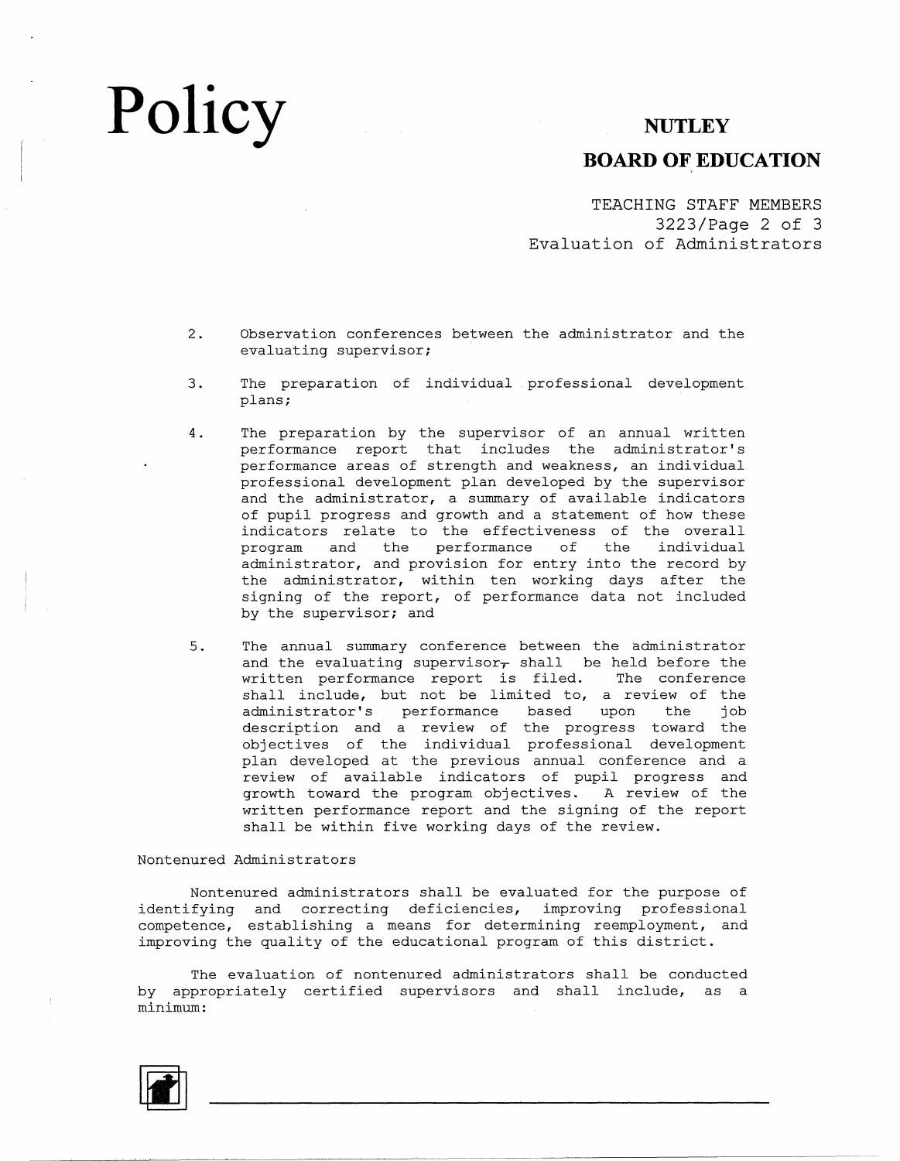## Policy NUTLEY

### **BOARD OF EDUCATION**

TEACHING STAFF MEMBERS 3223/Page 2 of 3 Evaluation of Administrators

- 2. Observation conferences between the administrator and the evaluating supervisor;
- 3. The preparation of individual professional development plans;
- 4. The preparation by the supervisor of an annual written performance report that includes the administrator's performance areas of strength and weakness, an individual professional development plan developed by the supervisor and the administrator, a summary of available indicators of pupil progress and growth and a statement of how these indicators relate to the effectiveness of the overall program and the performance of the individual administrator, and provision for entry into the record by the administrator, within ten working days after the signing of the report, of performance data not included by the supervisor; and
- 5. The annual summary conference between the administrator and the evaluating supervisor $<sub>r</sub>$  shall be held before the</sub> written performance report is filed. The conference shall include, but not be limited to, a review of the administrator's performance based upon the job description and a review of the progress toward the objectives of the individual professional developme plan developed at the previous annual conference and a review of available indicators of pupil progress and growth toward the program objectives. A review of the written performance report and the signing of the report shall be within five working days of the review.

#### Nontenured Administrators

Nontenured administrators shall be evaluated for the purpose of identifying and correcting deficiencies, improving professional competence, establishing a means for determining reemployment, and improving the quality of the educational program of this district.

The evaluation of nontenured administrators shall be conducted by appropriately certified supervisors and shall include, as a minimum: